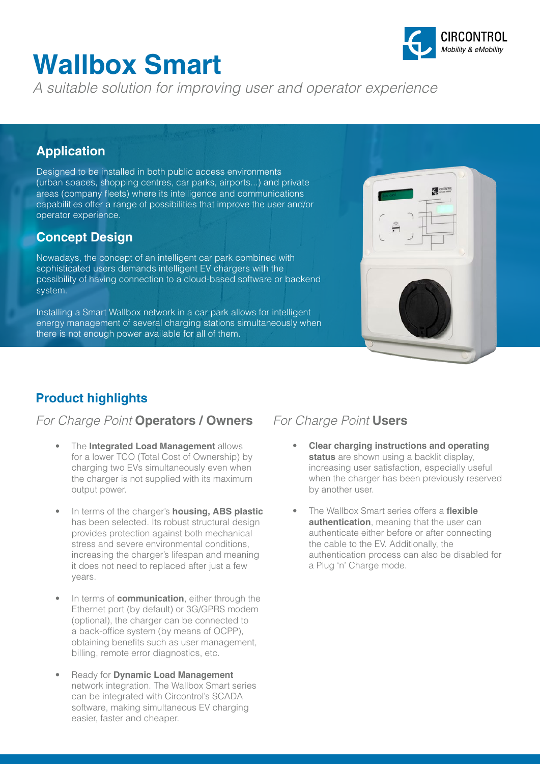# **Wallbox Smart**

CIRCONTROL *Mobility & eMobility*

*A suitable solution for improving user and operator experience*

#### **Application**

Designed to be installed in both public access environments (urban spaces, shopping centres, car parks, airports...) and private areas (company fleets) where its intelligence and communications capabilities offer a range of possibilities that improve the user and/or operator experience.

#### **Concept Design**

Nowadays, the concept of an intelligent car park combined with sophisticated users demands intelligent EV chargers with the possibility of having connection to a cloud-based software or backend system.

Installing a Smart Wallbox network in a car park allows for intelligent energy management of several charging stations simultaneously when there is not enough power available for all of them.



### **Product highlights**

#### *For Charge Point* **Operators / Owners** *For Charge Point* **Users**

- The **Integrated Load Management** allows for a lower TCO (Total Cost of Ownership) by charging two EVs simultaneously even when the charger is not supplied with its maximum output power.
- In terms of the charger's **housing, ABS plastic** has been selected. Its robust structural design provides protection against both mechanical stress and severe environmental conditions, increasing the charger's lifespan and meaning it does not need to replaced after just a few years.
- In terms of **communication**, either through the Ethernet port (by default) or 3G/GPRS modem (optional), the charger can be connected to a back-office system (by means of OCPP), obtaining benefits such as user management, billing, remote error diagnostics, etc.
- Ready for **Dynamic Load Management** network integration. The Wallbox Smart series can be integrated with Circontrol's SCADA software, making simultaneous EV charging easier, faster and cheaper.

- **Clear charging instructions and operating status** are shown using a backlit display, increasing user satisfaction, especially useful when the charger has been previously reserved by another user.
- The Wallbox Smart series offers a **flexible authentication**, meaning that the user can authenticate either before or after connecting the cable to the EV. Additionally, the authentication process can also be disabled for a Plug 'n' Charge mode.